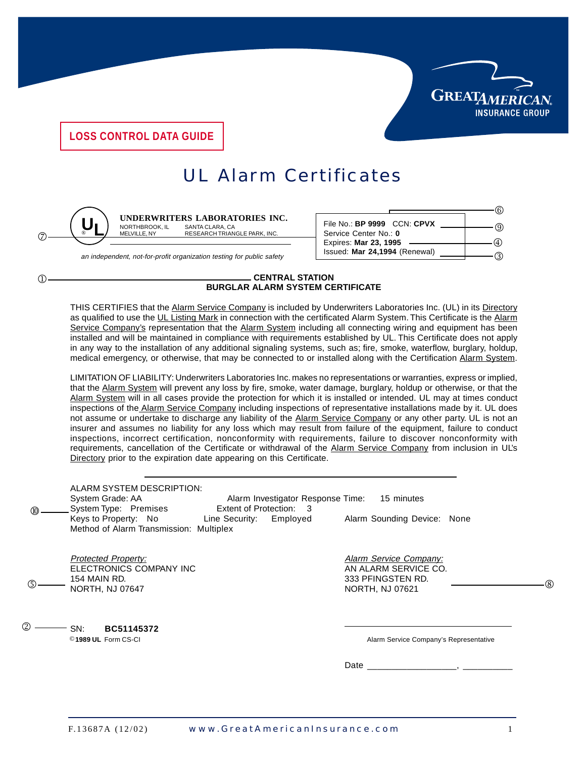

6  $(9)$  $^{\circledR}$ ক

**LOSS CONTROL DATA GUIDE**

## UL Alarm Certificates



 $\bigcap$ 

<u>UL</u>

**UNDERWRITERS LABORATORIES INC.**<br>NORTHBROOK, IL SANTA CLARA, CA SANTA CLARA, CA MELVILLE, NY RESEARCH TRIANGLE PARK, INC.

File No.: **BP 9999** CCN: **CPVX** Service Center No.: **0** Expires: **Mar 23, 1995**

an independent, not-for-profit organization testing for public safety

## **CENTRAL STATION BURGLAR ALARM SYSTEM CERTIFICATE**

THIS CERTIFIES that the Alarm Service Company is included by Underwriters Laboratories Inc. (UL) in its Directory as qualified to use the UL Listing Mark in connection with the certificated Alarm System. This Certificate is the Alarm Service Company's representation that the Alarm System including all connecting wiring and equipment has been installed and will be maintained in compliance with requirements established by UL. This Certificate does not apply in any way to the installation of any additional signaling systems, such as; fire, smoke, waterflow, burglary, holdup, medical emergency, or otherwise, that may be connected to or installed along with the Certification Alarm System.

LIMITATION OF LIABILITY: Underwriters Laboratories Inc. makes no representations or warranties, express or implied, that the Alarm System will prevent any loss by fire, smoke, water damage, burglary, holdup or otherwise, or that the Alarm System will in all cases provide the protection for which it is installed or intended. UL may at times conduct inspections of the Alarm Service Company including inspections of representative installations made by it. UL does not assume or undertake to discharge any liability of the Alarm Service Company or any other party. UL is not an insurer and assumes no liability for any loss which may result from failure of the equipment, failure to conduct inspections, incorrect certification, nonconformity with requirements, failure to discover nonconformity with requirements, cancellation of the Certificate or withdrawal of the Alarm Service Company from inclusion in UL's Directory prior to the expiration date appearing on this Certificate.

| $^{\circ}$     | ALARM SYSTEM DESCRIPTION:<br>System Grade: AA<br>Alarm Investigator Response Time:<br>System Type: Premises<br>Extent of Protection: 3<br>Keys to Property: No<br>Line Security: Employed<br>Method of Alarm Transmission: Multiplex | 15 minutes<br>Alarm Sounding Device: None                                                                 |
|----------------|--------------------------------------------------------------------------------------------------------------------------------------------------------------------------------------------------------------------------------------|-----------------------------------------------------------------------------------------------------------|
|                | <b>Protected Property:</b><br>ELECTRONICS COMPANY INC<br>154 MAIN RD.<br><b>NORTH, NJ 07647</b>                                                                                                                                      | <b>Alarm Service Company:</b><br>AN ALARM SERVICE CO.<br>333 PFINGSTEN RD.<br>൫<br><b>NORTH, NJ 07621</b> |
| $^{\circledR}$ | BC51145372<br>SN:<br><sup>©</sup> 1989 UL Form CS-CI                                                                                                                                                                                 | Alarm Service Company's Representative                                                                    |
|                |                                                                                                                                                                                                                                      | Date                                                                                                      |
|                |                                                                                                                                                                                                                                      |                                                                                                           |